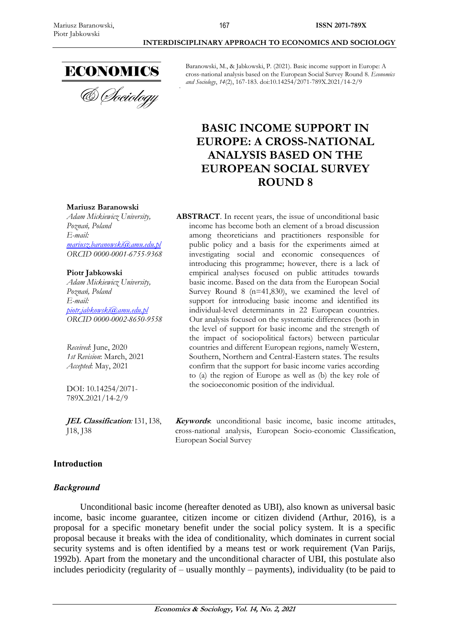

Baranowski, M., & Jabkowski, P. (2021). Basic income support in Europe: A cross-national analysis based on the European Social Survey Round 8. *Economics and Sociology*, *14*(2), 167-183. doi:10.14254/2071-789X.2021/14-2/9

# **BASIC INCOME SUPPORT IN EUROPE: A CROSS-NATIONAL ANALYSIS BASED ON THE EUROPEAN SOCIAL SURVEY ROUND 8**

**ABSTRACT**. In recent years, the issue of unconditional basic income has become both an element of a broad discussion among theoreticians and practitioners responsible for public policy and a basis for the experiments aimed at investigating social and economic consequences of introducing this programme; however, there is a lack of empirical analyses focused on public attitudes towards basic income. Based on the data from the European Social Survey Round 8 (n=41,830), we examined the level of support for introducing basic income and identified its individual-level determinants in 22 European countries. Our analysis focused on the systematic differences (both in the level of support for basic income and the strength of the impact of sociopolitical factors) between particular countries and different European regions, namely Western, Southern, Northern and Central-Eastern states. The results confirm that the support for basic income varies according to (a) the region of Europe as well as (b) the key role of

#### **Mariusz Baranowski**

*Adam Mickiewicz University, Poznań, Poland E-mail: [mariusz.baranowski@amu.edu.pl](mailto:mariusz.baranowski@amu.edu.pl) ORCID 0000-0001-6755-9368*

#### **Piotr Jabkowski**

*Adam Mickiewicz University, Poznań, Poland E-mail: [piotr.jabkowski@amu.edu.pl](mailto:piotr.jabkowski@amu.edu.pl)  ORCID 0000-0002-8650-9558*

*Received*: June, 2020 *1st Revision*: March, 2021 *Accepted*: May, 2021

DOI: 10.14254/2071- 789X.2021/14-2/9

**JEL Classification***:* I31, I38, J18, J38

# **Keywords**: unconditional basic income, basic income attitudes, cross-national analysis, European Socio-economic Classification, European Social Survey

the socioeconomic position of the individual.

## **Introduction**

## *Background*

Unconditional basic income (hereafter denoted as UBI), also known as universal basic income, basic income guarantee, citizen income or citizen dividend (Arthur, 2016), is a proposal for a specific monetary benefit under the social policy system. It is a specific proposal because it breaks with the idea of conditionality, which dominates in current social security systems and is often identified by a means test or work requirement (Van Parijs, 1992b). Apart from the monetary and the unconditional character of UBI, this postulate also includes periodicity (regularity of – usually monthly – payments), individuality (to be paid to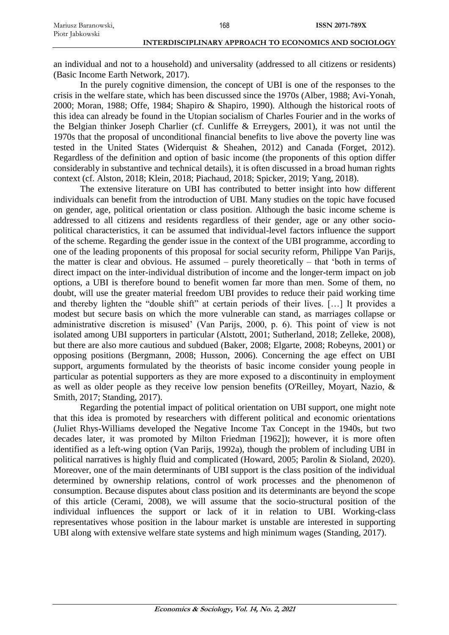an individual and not to a household) and universality (addressed to all citizens or residents) (Basic Income Earth Network, 2017).

168

In the purely cognitive dimension, the concept of UBI is one of the responses to the crisis in the welfare state, which has been discussed since the 1970s (Alber, 1988; Avi-Yonah, 2000; Moran, 1988; Offe, 1984; Shapiro & Shapiro, 1990). Although the historical roots of this idea can already be found in the Utopian socialism of Charles Fourier and in the works of the Belgian thinker Joseph Charlier (cf. Cunliffe & Erreygers, 2001), it was not until the 1970s that the proposal of unconditional financial benefits to live above the poverty line was tested in the United States (Widerquist & Sheahen, 2012) and Canada (Forget, 2012). Regardless of the definition and option of basic income (the proponents of this option differ considerably in substantive and technical details), it is often discussed in a broad human rights context (cf. Alston, 2018; Klein, 2018; Piachaud, 2018; Spicker, 2019; Yang, 2018).

The extensive literature on UBI has contributed to better insight into how different individuals can benefit from the introduction of UBI. Many studies on the topic have focused on gender, age, political orientation or class position. Although the basic income scheme is addressed to all citizens and residents regardless of their gender, age or any other sociopolitical characteristics, it can be assumed that individual-level factors influence the support of the scheme. Regarding the gender issue in the context of the UBI programme, according to one of the leading proponents of this proposal for social security reform, Philippe Van Parijs, the matter is clear and obvious. He assumed – purely theoretically – that 'both in terms of direct impact on the inter-individual distribution of income and the longer-term impact on job options, a UBI is therefore bound to benefit women far more than men. Some of them, no doubt, will use the greater material freedom UBI provides to reduce their paid working time and thereby lighten the "double shift" at certain periods of their lives. […] It provides a modest but secure basis on which the more vulnerable can stand, as marriages collapse or administrative discretion is misused' (Van Parijs, 2000, p. 6). This point of view is not isolated among UBI supporters in particular (Alstott, 2001; Sutherland, 2018; Zelleke, 2008), but there are also more cautious and subdued (Baker, 2008; Elgarte, 2008; Robeyns, 2001) or opposing positions (Bergmann, 2008; Husson, 2006). Concerning the age effect on UBI support, arguments formulated by the theorists of basic income consider young people in particular as potential supporters as they are more exposed to a discontinuity in employment as well as older people as they receive low pension benefits (O'Reilley, Moyart, Nazio, & Smith, 2017; Standing, 2017).

Regarding the potential impact of political orientation on UBI support, one might note that this idea is promoted by researchers with different political and economic orientations (Juliet Rhys-Williams developed the Negative Income Tax Concept in the 1940s, but two decades later, it was promoted by Milton Friedman [1962]); however, it is more often identified as a left-wing option (Van Parijs, 1992a), though the problem of including UBI in political narratives is highly fluid and complicated (Howard, 2005; Parolin & Sioland, 2020). Moreover, one of the main determinants of UBI support is the class position of the individual determined by ownership relations, control of work processes and the phenomenon of consumption. Because disputes about class position and its determinants are beyond the scope of this article (Cerami, 2008), we will assume that the socio-structural position of the individual influences the support or lack of it in relation to UBI. Working-class representatives whose position in the labour market is unstable are interested in supporting UBI along with extensive welfare state systems and high minimum wages (Standing, 2017).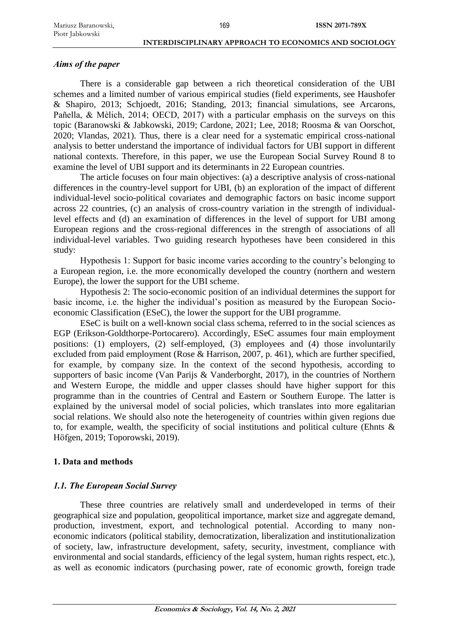## *Aims of the paper*

There is a considerable gap between a rich theoretical consideration of the UBI schemes and a limited number of various empirical studies (field experiments, see Haushofer & Shapiro, 2013; Schjoedt, 2016; Standing, 2013; financial simulations, see Arcarons, Pañella, & Mèlich, 2014; OECD, 2017) with a particular emphasis on the surveys on this topic (Baranowski & Jabkowski, 2019; Cardone, 2021; Lee, 2018; Roosma & van Oorschot, 2020; Vlandas, 2021). Thus, there is a clear need for a systematic empirical cross-national analysis to better understand the importance of individual factors for UBI support in different national contexts. Therefore, in this paper, we use the European Social Survey Round 8 to examine the level of UBI support and its determinants in 22 European countries.

The article focuses on four main objectives: (a) a descriptive analysis of cross-national differences in the country-level support for UBI, (b) an exploration of the impact of different individual-level socio-political covariates and demographic factors on basic income support across 22 countries, (c) an analysis of cross-country variation in the strength of individuallevel effects and (d) an examination of differences in the level of support for UBI among European regions and the cross-regional differences in the strength of associations of all individual-level variables. Two guiding research hypotheses have been considered in this study:

Hypothesis 1: Support for basic income varies according to the country's belonging to a European region, i.e. the more economically developed the country (northern and western Europe), the lower the support for the UBI scheme.

Hypothesis 2: The socio-economic position of an individual determines the support for basic income, i.e. the higher the individual's position as measured by the European Socioeconomic Classification (ESeC), the lower the support for the UBI programme.

ESeC is built on a well-known social class schema, referred to in the social sciences as EGP (Erikson-Goldthorpe-Portocarero). Accordingly, ESeC assumes four main employment positions: (1) employers, (2) self-employed, (3) employees and (4) those involuntarily excluded from paid employment (Rose & Harrison, 2007, p. 461), which are further specified, for example, by company size. In the context of the second hypothesis, according to supporters of basic income (Van Parijs & Vanderborght, 2017), in the countries of Northern and Western Europe, the middle and upper classes should have higher support for this programme than in the countries of Central and Eastern or Southern Europe. The latter is explained by the universal model of social policies, which translates into more egalitarian social relations. We should also note the heterogeneity of countries within given regions due to, for example, wealth, the specificity of social institutions and political culture (Ehnts & Höfgen, 2019; Toporowski, 2019).

## **1. Data and methods**

# *1.1. The European Social Survey*

These three countries are relatively small and underdeveloped in terms of their geographical size and population, geopolitical importance, market size and aggregate demand, production, investment, export, and technological potential. According to many noneconomic indicators (political stability, democratization, liberalization and institutionalization of society, law, infrastructure development, safety, security, investment, compliance with environmental and social standards, efficiency of the legal system, human rights respect, etc.), as well as economic indicators (purchasing power, rate of economic growth, foreign trade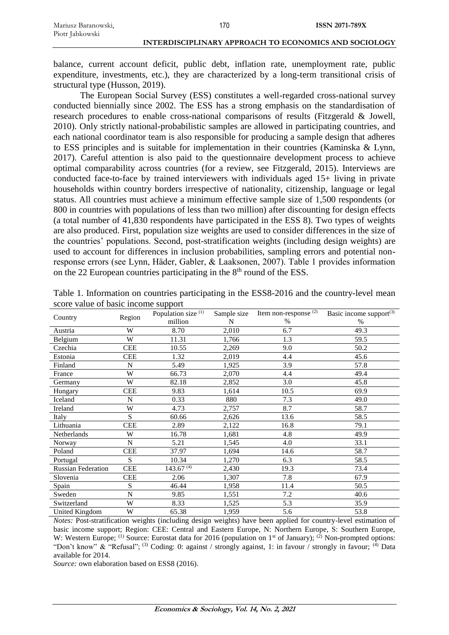balance, current account deficit, public debt, inflation rate, unemployment rate, public expenditure, investments, etc.), they are characterized by a long-term transitional crisis of structural type (Husson, 2019).

The European Social Survey (ESS) constitutes a well-regarded cross-national survey conducted biennially since 2002. The ESS has a strong emphasis on the standardisation of research procedures to enable cross-national comparisons of results (Fitzgerald & Jowell, 2010). Only strictly national-probabilistic samples are allowed in participating countries, and each national coordinator team is also responsible for producing a sample design that adheres to ESS principles and is suitable for implementation in their countries (Kaminska & Lynn, 2017). Careful attention is also paid to the questionnaire development process to achieve optimal comparability across countries (for a review, see Fitzgerald, 2015). Interviews are conducted face-to-face by trained interviewers with individuals aged 15+ living in private households within country borders irrespective of nationality, citizenship, language or legal status. All countries must achieve a minimum effective sample size of 1,500 respondents (or 800 in countries with populations of less than two million) after discounting for design effects (a total number of 41,830 respondents have participated in the ESS 8). Two types of weights are also produced. First, population size weights are used to consider differences in the size of the countries' populations. Second, post-stratification weights (including design weights) are used to account for differences in inclusion probabilities, sampling errors and potential nonresponse errors (see Lynn, Häder, Gabler, & Laaksonen, 2007). Table 1 provides information on the 22 European countries participating in the  $8<sup>th</sup>$  round of the ESS.

| Country                   | Region     | Population size <sup>(1)</sup> | Sample size | Item non-response $(2)$ | Basic income support <sup>(3)</sup> |
|---------------------------|------------|--------------------------------|-------------|-------------------------|-------------------------------------|
|                           |            | million                        | N           | $\%$                    | $\frac{0}{0}$                       |
| Austria                   | W          | 8.70                           | 2,010       | 6.7                     | 49.3                                |
| Belgium                   | W          | 11.31                          | 1,766       | 1.3                     | 59.5                                |
| Czechia                   | <b>CEE</b> | 10.55                          | 2,269       | 9.0                     | 50.2                                |
| Estonia                   | <b>CEE</b> | 1.32                           | 2,019       | 4.4                     | 45.6                                |
| Finland                   | N          | 5.49                           | 1,925       | 3.9                     | 57.8                                |
| France                    | W          | 66.73                          | 2,070       | 4.4                     | 49.4                                |
| Germany                   | W          | 82.18                          | 2,852       | 3.0                     | 45.8                                |
| Hungary                   | <b>CEE</b> | 9.83                           | 1,614       | 10.5                    | 69.9                                |
| Iceland                   | N          | 0.33                           | 880         | 7.3                     | 49.0                                |
| Ireland                   | W          | 4.73                           | 2,757       | 8.7                     | 58.7                                |
| Italy                     | S          | 60.66                          | 2,626       | 13.6                    | 58.5                                |
| Lithuania                 | <b>CEE</b> | 2.89                           | 2,122       | 16.8                    | 79.1                                |
| Netherlands               | W          | 16.78                          | 1,681       | 4.8                     | 49.9                                |
| Norway                    | N          | 5.21                           | 1,545       | 4.0                     | 33.1                                |
| Poland                    | <b>CEE</b> | 37.97                          | 1,694       | 14.6                    | 58.7                                |
| Portugal                  | S          | 10.34                          | 1,270       | 6.3                     | 58.5                                |
| <b>Russian Federation</b> | <b>CEE</b> | $143.67^{(4)}$                 | 2,430       | 19.3                    | 73.4                                |
| Slovenia                  | <b>CEE</b> | 2.06                           | 1,307       | 7.8                     | 67.9                                |
| Spain                     | S          | 46.44                          | 1,958       | 11.4                    | 50.5                                |
| Sweden                    | N          | 9.85                           | 1,551       | 7.2                     | 40.6                                |
| Switzerland               | W          | 8.33                           | 1,525       | 5.3                     | 35.9                                |
| United Kingdom            | W          | 65.38                          | 1,959       | 5.6                     | 53.8                                |

Table 1. Information on countries participating in the ESS8-2016 and the country-level mean score value of basic income support

*Notes:* Post-stratification weights (including design weights) have been applied for country-level estimation of basic income support; Region: CEE: Central and Eastern Europe, N: Northern Europe, S: Southern Europe, W: Western Europe; <sup>(1)</sup> Source: Eurostat data for 2016 (population on  $1<sup>st</sup>$  of January); <sup>(2)</sup> Non-prompted options: "Don't know" & "Refusal"; <sup>(3)</sup> Coding: 0: against / strongly against, 1: in favour / strongly in favour; <sup>(4)</sup> Data available for 2014.

*Source:* own elaboration based on ESS8 (2016).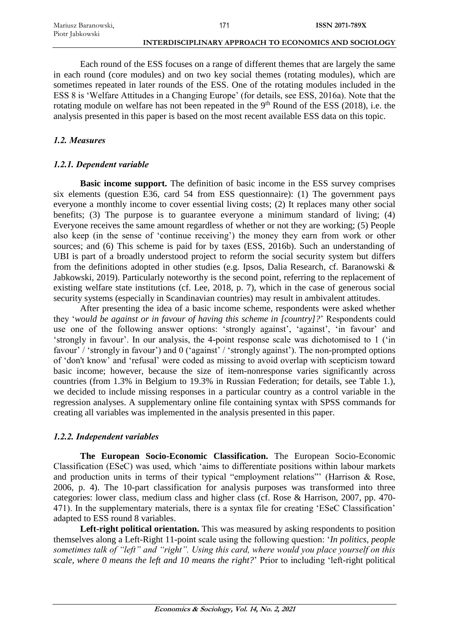Each round of the ESS focuses on a range of different themes that are largely the same in each round (core modules) and on two key social themes (rotating modules), which are sometimes repeated in later rounds of the ESS. One of the rotating modules included in the ESS 8 is 'Welfare Attitudes in a Changing Europe' (for details, see ESS, 2016a). Note that the rotating module on welfare has not been repeated in the 9<sup>th</sup> Round of the ESS (2018), i.e. the analysis presented in this paper is based on the most recent available ESS data on this topic.

# *1.2. Measures*

# *1.2.1. Dependent variable*

**Basic income support.** The definition of basic income in the ESS survey comprises six elements (question E36, card 54 from ESS questionnaire): (1) The government pays everyone a monthly income to cover essential living costs; (2) It replaces many other social benefits; (3) The purpose is to guarantee everyone a minimum standard of living; (4) Everyone receives the same amount regardless of whether or not they are working; (5) People also keep (in the sense of 'continue receiving') the money they earn from work or other sources; and (6) This scheme is paid for by taxes (ESS, 2016b). Such an understanding of UBI is part of a broadly understood project to reform the social security system but differs from the definitions adopted in other studies (e.g. Ipsos, Dalia Research, cf. Baranowski & Jabkowski, 2019). Particularly noteworthy is the second point, referring to the replacement of existing welfare state institutions (cf. Lee, 2018, p. 7), which in the case of generous social security systems (especially in Scandinavian countries) may result in ambivalent attitudes.

After presenting the idea of a basic income scheme, respondents were asked whether they '*would be against or in favour of having this scheme in [country]?*' Respondents could use one of the following answer options: 'strongly against', 'against', 'in favour' and 'strongly in favour'. In our analysis, the 4-point response scale was dichotomised to 1 ('in favour' / 'strongly in favour') and 0 ('against' / 'strongly against'). The non-prompted options of 'don't know' and 'refusal' were coded as missing to avoid overlap with scepticism toward basic income; however, because the size of item-nonresponse varies significantly across countries (from 1.3% in Belgium to 19.3% in Russian Federation; for details, see Table 1.), we decided to include missing responses in a particular country as a control variable in the regression analyses. A supplementary online file containing syntax with SPSS commands for creating all variables was implemented in the analysis presented in this paper.

# *1.2.2. Independent variables*

**The European Socio-Economic Classification.** The European Socio-Economic Classification (ESeC) was used, which 'aims to differentiate positions within labour markets and production units in terms of their typical "employment relations"' (Harrison & Rose, 2006, p. 4). The 10-part classification for analysis purposes was transformed into three categories: lower class, medium class and higher class (cf. Rose & Harrison, 2007, pp. 470- 471). In the supplementary materials, there is a syntax file for creating 'ESeC Classification' adapted to ESS round 8 variables.

Left-right political orientation. This was measured by asking respondents to position themselves along a Left-Right 11-point scale using the following question: '*In politics, people sometimes talk of "left" and "right". Using this card, where would you place yourself on this scale, where 0 means the left and 10 means the right?*' Prior to including 'left-right political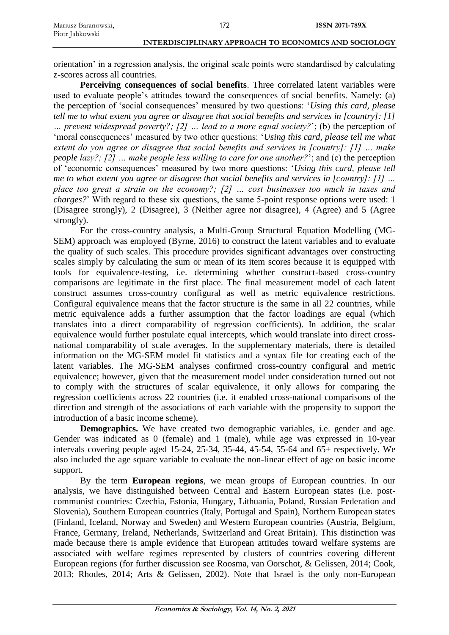orientation' in a regression analysis, the original scale points were standardised by calculating z-scores across all countries.

172

**Perceiving consequences of social benefits**. Three correlated latent variables were used to evaluate people's attitudes toward the consequences of social benefits. Namely: (a) the perception of 'social consequences' measured by two questions: '*Using this card, please tell me to what extent you agree or disagree that social benefits and services in [country]: [1] … prevent widespread poverty?; [2] … lead to a more equal society?*'; (b) the perception of 'moral consequences' measured by two other questions: '*Using this card, please tell me what extent do you agree or disagree that social benefits and services in [country]: [1] … make people lazy?; [2] … make people less willing to care for one another?*'; and (c) the perception of 'economic consequences' measured by two more questions: '*Using this card, please tell me to what extent you agree or disagree that social benefits and services in [country]: [1] … place too great a strain on the economy?; [2] … cost businesses too much in taxes and charges?*' With regard to these six questions, the same 5-point response options were used: 1 (Disagree strongly), 2 (Disagree), 3 (Neither agree nor disagree), 4 (Agree) and 5 (Agree strongly).

For the cross-country analysis, a Multi-Group Structural Equation Modelling (MG-SEM) approach was employed (Byrne, 2016) to construct the latent variables and to evaluate the quality of such scales. This procedure provides significant advantages over constructing scales simply by calculating the sum or mean of its item scores because it is equipped with tools for equivalence-testing, i.e. determining whether construct-based cross-country comparisons are legitimate in the first place. The final measurement model of each latent construct assumes cross-country configural as well as metric equivalence restrictions. Configural equivalence means that the factor structure is the same in all 22 countries, while metric equivalence adds a further assumption that the factor loadings are equal (which translates into a direct comparability of regression coefficients). In addition, the scalar equivalence would further postulate equal intercepts, which would translate into direct crossnational comparability of scale averages. In the supplementary materials, there is detailed information on the MG-SEM model fit statistics and a syntax file for creating each of the latent variables. The MG-SEM analyses confirmed cross-country configural and metric equivalence; however, given that the measurement model under consideration turned out not to comply with the structures of scalar equivalence, it only allows for comparing the regression coefficients across 22 countries (i.e. it enabled cross-national comparisons of the direction and strength of the associations of each variable with the propensity to support the introduction of a basic income scheme).

**Demographics.** We have created two demographic variables, i.e. gender and age. Gender was indicated as 0 (female) and 1 (male), while age was expressed in 10-year intervals covering people aged 15-24, 25-34, 35-44, 45-54, 55-64 and  $65+$  respectively. We also included the age square variable to evaluate the non-linear effect of age on basic income support.

By the term **European regions**, we mean groups of European countries. In our analysis, we have distinguished between Central and Eastern European states (i.e. postcommunist countries: Czechia, Estonia, Hungary, Lithuania, Poland, Russian Federation and Slovenia), Southern European countries (Italy, Portugal and Spain), Northern European states (Finland, Iceland, Norway and Sweden) and Western European countries (Austria, Belgium, France, Germany, Ireland, Netherlands, Switzerland and Great Britain). This distinction was made because there is ample evidence that European attitudes toward welfare systems are associated with welfare regimes represented by clusters of countries covering different European regions (for further discussion see Roosma, van Oorschot, & Gelissen, 2014; Cook, 2013; Rhodes, 2014; Arts & Gelissen, 2002). Note that Israel is the only non-European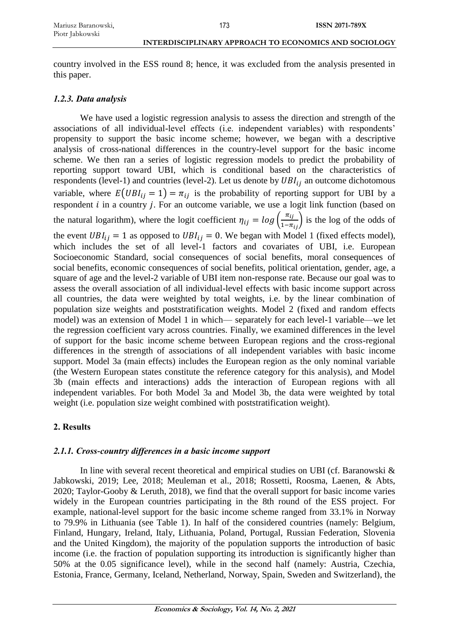country involved in the ESS round 8; hence, it was excluded from the analysis presented in this paper.

#### *1.2.3. Data analysis*

We have used a logistic regression analysis to assess the direction and strength of the associations of all individual-level effects (i.e. independent variables) with respondents' propensity to support the basic income scheme; however, we began with a descriptive analysis of cross-national differences in the country-level support for the basic income scheme. We then ran a series of logistic regression models to predict the probability of reporting support toward UBI, which is conditional based on the characteristics of respondents (level-1) and countries (level-2). Let us denote by  $UBI_{ij}$  an outcome dichotomous variable, where  $E\left( UBI_{ij} = 1 \right) = \pi_{ij}$  is the probability of reporting support for UBI by a respondent  $i$  in a country  $j$ . For an outcome variable, we use a logit link function (based on the natural logarithm), where the logit coefficient  $\eta_{ij} = log\left(\frac{\pi_{ij}}{1-\pi_{ij}}\right)$  is the log of the odds of the event  $UBI_{ij} = 1$  as opposed to  $UBI_{ij} = 0$ . We began with Model 1 (fixed effects model), which includes the set of all level-1 factors and covariates of UBI, i.e. European Socioeconomic Standard, social consequences of social benefits, moral consequences of social benefits, economic consequences of social benefits, political orientation, gender, age, a square of age and the level-2 variable of UBI item non-response rate. Because our goal was to assess the overall association of all individual-level effects with basic income support across all countries, the data were weighted by total weights, i.e. by the linear combination of population size weights and poststratification weights. Model 2 (fixed and random effects model) was an extension of Model 1 in which— separately for each level-1 variable—we let the regression coefficient vary across countries. Finally, we examined differences in the level of support for the basic income scheme between European regions and the cross-regional differences in the strength of associations of all independent variables with basic income support. Model 3a (main effects) includes the European region as the only nominal variable (the Western European states constitute the reference category for this analysis), and Model 3b (main effects and interactions) adds the interaction of European regions with all independent variables. For both Model 3a and Model 3b, the data were weighted by total weight (i.e. population size weight combined with poststratification weight).

## **2. Results**

#### *2.1.1. Cross-country differences in a basic income support*

In line with several recent theoretical and empirical studies on UBI (cf. Baranowski  $\&$ Jabkowski, 2019; Lee, 2018; Meuleman et al., 2018; Rossetti, Roosma, Laenen, & Abts, 2020; Taylor-Gooby & Leruth, 2018), we find that the overall support for basic income varies widely in the European countries participating in the 8th round of the ESS project. For example, national-level support for the basic income scheme ranged from 33.1% in Norway to 79.9% in Lithuania (see Table 1). In half of the considered countries (namely: Belgium, Finland, Hungary, Ireland, Italy, Lithuania, Poland, Portugal, Russian Federation, Slovenia and the United Kingdom), the majority of the population supports the introduction of basic income (i.e. the fraction of population supporting its introduction is significantly higher than 50% at the 0.05 significance level), while in the second half (namely: Austria, Czechia, Estonia, France, Germany, Iceland, Netherland, Norway, Spain, Sweden and Switzerland), the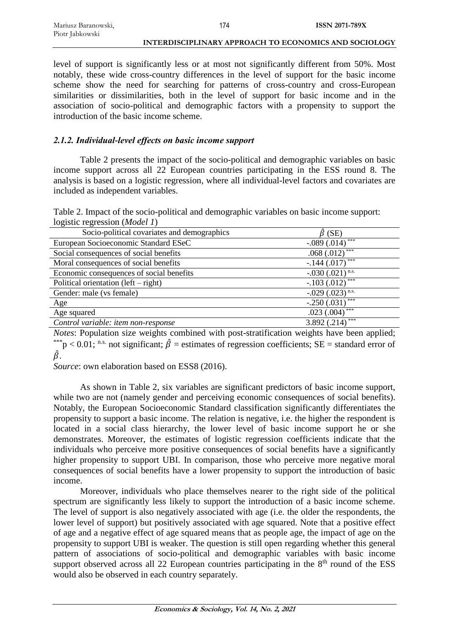| Mariusz Baranowski, |                                                       | <b>ISSN 2071-789X</b> |
|---------------------|-------------------------------------------------------|-----------------------|
| Piotr Jabkowski     |                                                       |                       |
|                     | INTERDISCIPLINARY APPROACH TO ECONOMICS AND SOCIOLOGY |                       |

level of support is significantly less or at most not significantly different from 50%. Most notably, these wide cross-country differences in the level of support for the basic income scheme show the need for searching for patterns of cross-country and cross-European similarities or dissimilarities, both in the level of support for basic income and in the association of socio-political and demographic factors with a propensity to support the introduction of the basic income scheme.

# *2.1.2. Individual-level effects on basic income support*

Table 2 presents the impact of the socio-political and demographic variables on basic income support across all 22 European countries participating in the ESS round 8. The analysis is based on a logistic regression, where all individual-level factors and covariates are included as independent variables.

Table 2. Impact of the socio-political and demographic variables on basic income support: logistic regression (*Model 1*)

| Socio-political covariates and demographics | $\hat{\beta}$ (SE)            |
|---------------------------------------------|-------------------------------|
| European Socioeconomic Standard ESeC        | $-.089(.014)$                 |
| Social consequences of social benefits      | $.068(.012)$ ***              |
| Moral consequences of social benefits       | $-.144(.017)$                 |
| Economic consequences of social benefits    | $-.030(.021)$ <sup>n.s.</sup> |
| Political orientation $(left - right)$      | $-.103(.012)$ ***             |
| Gender: male (vs female)                    | $-.029(.023)$ <sup>n.s.</sup> |
| Age                                         | ***<br>$-.250(.031)$          |
| Age squared                                 | ***<br>.023(.004)             |
| Control variable: item non-response         | 3.892 $(.214)^{***}$          |

*Notes*: Population size weights combined with post-stratification weights have been applied; \*\*\*p < 0.01; n.s. not significant;  $\hat{\beta}$  = estimates of regression coefficients; SE = standard error of  $\beta$ .

*Source*: own elaboration based on ESS8 (2016).

As shown in Table 2, six variables are significant predictors of basic income support, while two are not (namely gender and perceiving economic consequences of social benefits). Notably, the European Socioeconomic Standard classification significantly differentiates the propensity to support a basic income. The relation is negative, i.e. the higher the respondent is located in a social class hierarchy, the lower level of basic income support he or she demonstrates. Moreover, the estimates of logistic regression coefficients indicate that the individuals who perceive more positive consequences of social benefits have a significantly higher propensity to support UBI. In comparison, those who perceive more negative moral consequences of social benefits have a lower propensity to support the introduction of basic income.

Moreover, individuals who place themselves nearer to the right side of the political spectrum are significantly less likely to support the introduction of a basic income scheme. The level of support is also negatively associated with age (i.e. the older the respondents, the lower level of support) but positively associated with age squared. Note that a positive effect of age and a negative effect of age squared means that as people age, the impact of age on the propensity to support UBI is weaker. The question is still open regarding whether this general pattern of associations of socio-political and demographic variables with basic income support observed across all 22 European countries participating in the 8<sup>th</sup> round of the ESS would also be observed in each country separately.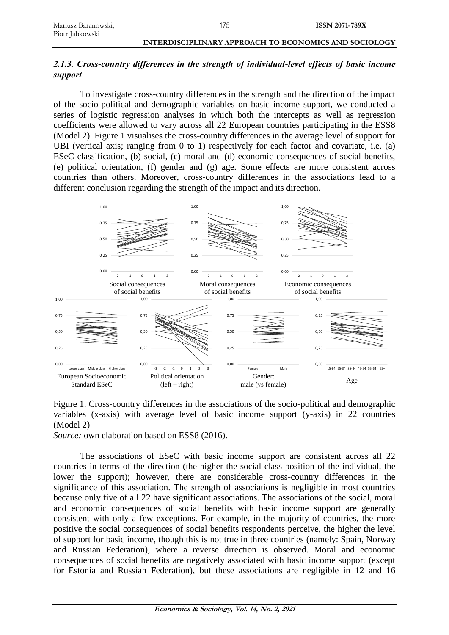# *2.1.3. Cross-country differences in the strength of individual-level effects of basic income support*

175

To investigate cross-country differences in the strength and the direction of the impact of the socio-political and demographic variables on basic income support, we conducted a series of logistic regression analyses in which both the intercepts as well as regression coefficients were allowed to vary across all 22 European countries participating in the ESS8 (Model 2). Figure 1 visualises the cross-country differences in the average level of support for UBI (vertical axis; ranging from 0 to 1) respectively for each factor and covariate, i.e. (a) ESeC classification, (b) social, (c) moral and (d) economic consequences of social benefits, (e) political orientation, (f) gender and (g) age. Some effects are more consistent across countries than others. Moreover, cross-country differences in the associations lead to a different conclusion regarding the strength of the impact and its direction.



Figure 1. Cross-country differences in the associations of the socio-political and demographic variables (x-axis) with average level of basic income support (y-axis) in 22 countries (Model 2)

*Source:* own elaboration based on ESS8 (2016).

The associations of ESeC with basic income support are consistent across all 22 countries in terms of the direction (the higher the social class position of the individual, the lower the support); however, there are considerable cross-country differences in the significance of this association. The strength of associations is negligible in most countries because only five of all 22 have significant associations. The associations of the social, moral and economic consequences of social benefits with basic income support are generally consistent with only a few exceptions. For example, in the majority of countries, the more positive the social consequences of social benefits respondents perceive, the higher the level of support for basic income, though this is not true in three countries (namely: Spain, Norway and Russian Federation), where a reverse direction is observed. Moral and economic consequences of social benefits are negatively associated with basic income support (except for Estonia and Russian Federation), but these associations are negligible in 12 and 16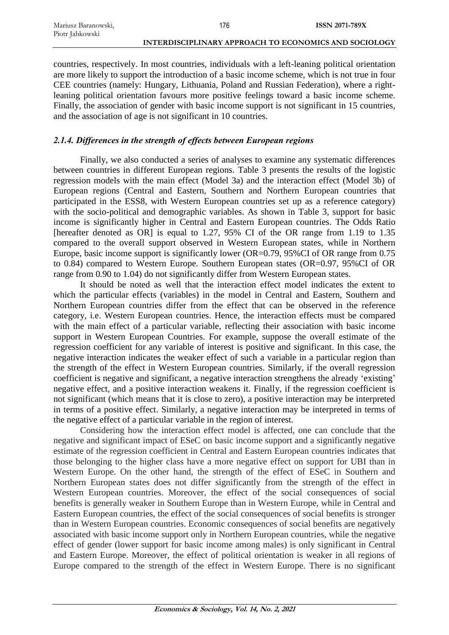countries, respectively. In most countries, individuals with a left-leaning political orientation are more likely to support the introduction of a basic income scheme, which is not true in four CEE countries (namely: Hungary, Lithuania, Poland and Russian Federation), where a rightleaning political orientation favours more positive feelings toward a basic income scheme. Finally, the association of gender with basic income support is not significant in 15 countries, and the association of age is not significant in 10 countries.

# *2.1.4. Differences in the strength of effects between European regions*

Finally, we also conducted a series of analyses to examine any systematic differences between countries in different European regions. Table 3 presents the results of the logistic regression models with the main effect (Model 3a) and the interaction effect (Model 3b) of European regions (Central and Eastern, Southern and Northern European countries that participated in the ESS8, with Western European countries set up as a reference category) with the socio-political and demographic variables. As shown in Table 3, support for basic income is significantly higher in Central and Eastern European countries. The Odds Ratio [hereafter denoted as OR] is equal to 1.27, 95% CI of the OR range from 1.19 to 1.35 compared to the overall support observed in Western European states, while in Northern Europe, basic income support is significantly lower (OR=0.79, 95%CI of OR range from 0.75 to 0.84) compared to Western Europe. Southern European states (OR=0.97, 95%CI of OR range from 0.90 to 1.04) do not significantly differ from Western European states.

It should be noted as well that the interaction effect model indicates the extent to which the particular effects (variables) in the model in Central and Eastern, Southern and Northern European countries differ from the effect that can be observed in the reference category, i.e. Western European countries. Hence, the interaction effects must be compared with the main effect of a particular variable, reflecting their association with basic income support in Western European Countries. For example, suppose the overall estimate of the regression coefficient for any variable of interest is positive and significant. In this case, the negative interaction indicates the weaker effect of such a variable in a particular region than the strength of the effect in Western European countries. Similarly, if the overall regression coefficient is negative and significant, a negative interaction strengthens the already 'existing' negative effect, and a positive interaction weakens it. Finally, if the regression coefficient is not significant (which means that it is close to zero), a positive interaction may be interpreted in terms of a positive effect. Similarly, a negative interaction may be interpreted in terms of the negative effect of a particular variable in the region of interest.

Considering how the interaction effect model is affected, one can conclude that the negative and significant impact of ESeC on basic income support and a significantly negative estimate of the regression coefficient in Central and Eastern European countries indicates that those belonging to the higher class have a more negative effect on support for UBI than in Western Europe. On the other hand, the strength of the effect of ESeC in Southern and Northern European states does not differ significantly from the strength of the effect in Western European countries. Moreover, the effect of the social consequences of social benefits is generally weaker in Southern Europe than in Western Europe, while in Central and Eastern European countries, the effect of the social consequences of social benefits is stronger than in Western European countries. Economic consequences of social benefits are negatively associated with basic income support only in Northern European countries, while the negative effect of gender (lower support for basic income among males) is only significant in Central and Eastern Europe. Moreover, the effect of political orientation is weaker in all regions of Europe compared to the strength of the effect in Western Europe. There is no significant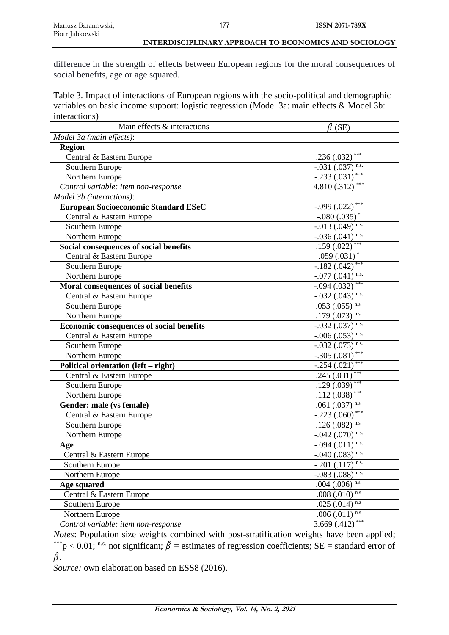difference in the strength of effects between European regions for the moral consequences of social benefits, age or age squared.

Table 3. Impact of interactions of European regions with the socio-political and demographic variables on basic income support: logistic regression (Model 3a: main effects & Model 3b: interactions)

| Main effects & interactions                     | $\hat{\beta}$ (SE)               |
|-------------------------------------------------|----------------------------------|
| Model 3a (main effects):                        |                                  |
| <b>Region</b>                                   |                                  |
| Central & Eastern Europe                        | ***<br>.236(.032)                |
| Southern Europe                                 | n.s.<br>$-.031(.037)$            |
| Northern Europe                                 | ***<br>$-.233(.031)$             |
| Control variable: item non-response             | ***<br>4.810 (.312)              |
| Model 3b (interactions):                        |                                  |
| <b>European Socioeconomic Standard ESeC</b>     | $-.099(.022)$                    |
| Central & Eastern Europe                        | $-.080(.035)$ *                  |
| Southern Europe                                 | $-.013(.049)$ <sup>n.s.</sup>    |
| Northern Europe                                 | $-.036(.041)$ <sup>n.s.</sup>    |
| Social consequences of social benefits          | .159(.022)                       |
| Central & Eastern Europe                        | .059(.031)                       |
| Southern Europe                                 | ***<br>$-.182(.042)$             |
| Northern Europe                                 | $-.077$ $(.041)$ n.s.            |
| Moral consequences of social benefits           | ***<br>$-0.094$ $(0.032)$        |
| Central & Eastern Europe                        | $-.032$ (.043) <sup>n.s.</sup>   |
| Southern Europe                                 | .053 (.055) n.s.                 |
| Northern Europe                                 | .179 $(.073)$ <sup>n.s.</sup>    |
| <b>Economic consequences of social benefits</b> | $-.032$ $(.037)$ <sup>n.s.</sup> |
| Central & Eastern Europe                        | $-.006(.053)$ <sup>n.s.</sup>    |
| Southern Europe                                 | n.s.<br>$-.032(.073)$            |
| Northern Europe                                 | $-.305(.081)$                    |
| Political orientation (left – right)            | ***<br>$-.254(.021)$             |
| Central & Eastern Europe                        | ***<br>.245(.031)                |
| Southern Europe                                 | ***<br>.129(.039)                |
| Northern Europe                                 | ***<br>.112(.038)                |
| Gender: male (vs female)                        | .061 $(.037)$ <sup>n.s.</sup>    |
| Central & Eastern Europe                        | ***<br>$-.223(.060)$             |
| Southern Europe                                 | $.126(.082)$ <sup>n.s.</sup>     |
| Northern Europe                                 | -.042 (.070) n.s.                |
| Age                                             | n.s.<br>$-.094(.011)$            |
| Central & Eastern Europe                        | $-.040(.083)$ <sup>n.s.</sup>    |
| Southern Europe                                 | $-0.201$ (.117) n.s.             |
| Northern Europe                                 | $-.083$ (.088) n.s.              |
| <b>Age squared</b>                              | $.004$ $(.006)$ <sup>n.s.</sup>  |
| Central & Eastern Europe                        | .008 $(.010)$ <sup>n.s</sup>     |
| Southern Europe                                 | .025 (.014) n.s                  |
| Northern Europe                                 | .006 $(.011)^{n.s}$              |
| Control variable: item non-response             | ***<br>3.669(.412)               |

*Notes*: Population size weights combined with post-stratification weights have been applied; \*\*\*p < 0.01; n.s. not significant;  $\hat{\beta}$  = estimates of regression coefficients; SE = standard error of  $\hat{\beta}$  .

*Source:* own elaboration based on ESS8 (2016).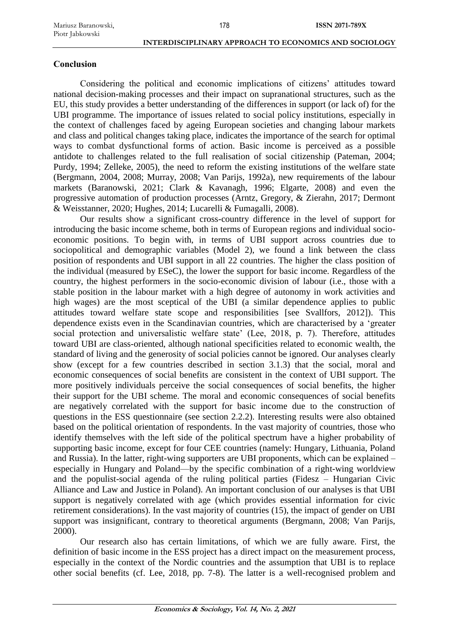# **Conclusion**

Considering the political and economic implications of citizens' attitudes toward national decision-making processes and their impact on supranational structures, such as the EU, this study provides a better understanding of the differences in support (or lack of) for the UBI programme. The importance of issues related to social policy institutions, especially in the context of challenges faced by ageing European societies and changing labour markets and class and political changes taking place, indicates the importance of the search for optimal ways to combat dysfunctional forms of action. Basic income is perceived as a possible antidote to challenges related to the full realisation of social citizenship (Pateman, 2004; Purdy, 1994; Zelleke, 2005), the need to reform the existing institutions of the welfare state (Bergmann, 2004, 2008; Murray, 2008; Van Parijs, 1992a), new requirements of the labour markets (Baranowski, 2021; Clark & Kavanagh, 1996; Elgarte, 2008) and even the progressive automation of production processes (Arntz, Gregory, & Zierahn, 2017; Dermont & Weisstanner, 2020; Hughes, 2014; Lucarelli & Fumagalli, 2008).

Our results show a significant cross-country difference in the level of support for introducing the basic income scheme, both in terms of European regions and individual socioeconomic positions. To begin with, in terms of UBI support across countries due to sociopolitical and demographic variables (Model 2), we found a link between the class position of respondents and UBI support in all 22 countries. The higher the class position of the individual (measured by ESeC), the lower the support for basic income. Regardless of the country, the highest performers in the socio-economic division of labour (i.e., those with a stable position in the labour market with a high degree of autonomy in work activities and high wages) are the most sceptical of the UBI (a similar dependence applies to public attitudes toward welfare state scope and responsibilities [see Svallfors, 2012]). This dependence exists even in the Scandinavian countries, which are characterised by a 'greater social protection and universalistic welfare state' (Lee, 2018, p. 7). Therefore, attitudes toward UBI are class-oriented, although national specificities related to economic wealth, the standard of living and the generosity of social policies cannot be ignored. Our analyses clearly show (except for a few countries described in section 3.1.3) that the social, moral and economic consequences of social benefits are consistent in the context of UBI support. The more positively individuals perceive the social consequences of social benefits, the higher their support for the UBI scheme. The moral and economic consequences of social benefits are negatively correlated with the support for basic income due to the construction of questions in the ESS questionnaire (see section 2.2.2). Interesting results were also obtained based on the political orientation of respondents. In the vast majority of countries, those who identify themselves with the left side of the political spectrum have a higher probability of supporting basic income, except for four CEE countries (namely: Hungary, Lithuania, Poland and Russia). In the latter, right-wing supporters are UBI proponents, which can be explained – especially in Hungary and Poland—by the specific combination of a right-wing worldview and the populist-social agenda of the ruling political parties (Fidesz – Hungarian Civic Alliance and Law and Justice in Poland). An important conclusion of our analyses is that UBI support is negatively correlated with age (which provides essential information for civic retirement considerations). In the vast majority of countries (15), the impact of gender on UBI support was insignificant, contrary to theoretical arguments (Bergmann, 2008; Van Parijs, 2000).

Our research also has certain limitations, of which we are fully aware. First, the definition of basic income in the ESS project has a direct impact on the measurement process, especially in the context of the Nordic countries and the assumption that UBI is to replace other social benefits (cf. Lee, 2018, pp. 7-8). The latter is a well-recognised problem and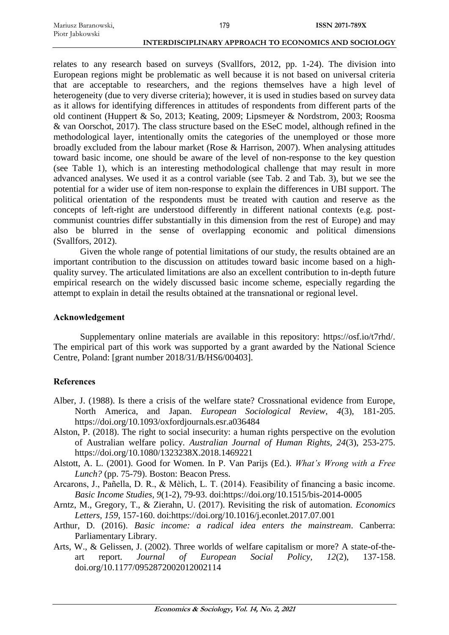relates to any research based on surveys (Svallfors, 2012, pp. 1-24). The division into European regions might be problematic as well because it is not based on universal criteria that are acceptable to researchers, and the regions themselves have a high level of heterogeneity (due to very diverse criteria); however, it is used in studies based on survey data as it allows for identifying differences in attitudes of respondents from different parts of the old continent (Huppert & So, 2013; Keating, 2009; Lipsmeyer & Nordstrom, 2003; Roosma & van Oorschot, 2017). The class structure based on the ESeC model, although refined in the methodological layer, intentionally omits the categories of the unemployed or those more broadly excluded from the labour market (Rose & Harrison, 2007). When analysing attitudes toward basic income, one should be aware of the level of non-response to the key question (see Table 1), which is an interesting methodological challenge that may result in more advanced analyses. We used it as a control variable (see Tab. 2 and Tab. 3), but we see the potential for a wider use of item non-response to explain the differences in UBI support. The political orientation of the respondents must be treated with caution and reserve as the concepts of left-right are understood differently in different national contexts (e.g. postcommunist countries differ substantially in this dimension from the rest of Europe) and may also be blurred in the sense of overlapping economic and political dimensions (Svallfors, 2012).

Given the whole range of potential limitations of our study, the results obtained are an important contribution to the discussion on attitudes toward basic income based on a highquality survey. The articulated limitations are also an excellent contribution to in-depth future empirical research on the widely discussed basic income scheme, especially regarding the attempt to explain in detail the results obtained at the transnational or regional level.

### **Acknowledgement**

Supplementary online materials are available in this repository: https://osf.io/t7rhd/. The empirical part of this work was supported by a grant awarded by the National Science Centre, Poland: [grant number 2018/31/B/HS6/00403].

## **References**

- Alber, J. (1988). Is there a crisis of the welfare state? Crossnational evidence from Europe, North America, and Japan. *European Sociological Review, 4*(3), 181-205. https://doi.org/10.1093/oxfordjournals.esr.a036484
- Alston, P. (2018). The right to social insecurity: a human rights perspective on the evolution of Australian welfare policy. *Australian Journal of Human Rights, 24*(3), 253-275. https://doi.org/10.1080/1323238X.2018.1469221
- Alstott, A. L. (2001). Good for Women. In P. Van Parijs (Ed.). *What's Wrong with a Free Lunch?* (pp. 75-79). Boston: Beacon Press.
- Arcarons, J., Pañella, D. R., & Mèlich, L. T. (2014). Feasibility of financing a basic income. *Basic Income Studies, 9*(1-2), 79-93. doi:https://doi.org/10.1515/bis-2014-0005
- Arntz, M., Gregory, T., & Zierahn, U. (2017). Revisiting the risk of automation. *Economics Letters, 159*, 157-160. doi:https://doi.org/10.1016/j.econlet.2017.07.001
- Arthur, D. (2016). *Basic income: a radical idea enters the mainstream*. Canberra: Parliamentary Library.
- Arts, W., & Gelissen, J. (2002). Three worlds of welfare capitalism or more? A state-of-theart report. *Journal of European Social Policy, 12*(2), 137-158. doi.org/10.1177/0952872002012002114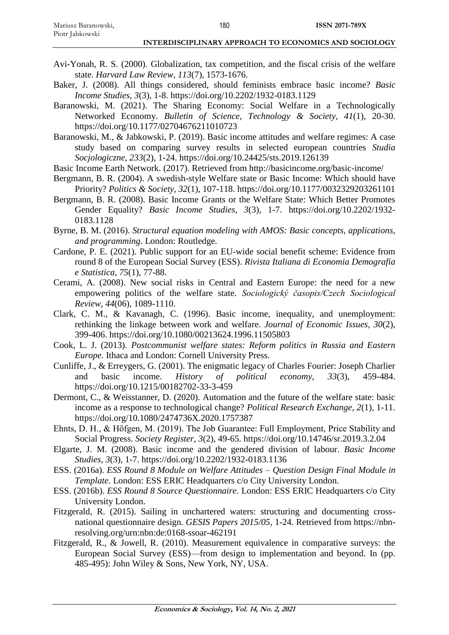- Avi-Yonah, R. S. (2000). Globalization, tax competition, and the fiscal crisis of the welfare state. *Harvard Law Review, 113*(7), 1573-1676.
- Baker, J. (2008). All things considered, should feminists embrace basic income? *Basic Income Studies, 3*(3), 1-8. https://doi.org/10.2202/1932-0183.1129
- Baranowski, M. (2021). The Sharing Economy: Social Welfare in a Technologically Networked Economy. *Bulletin of Science, Technology & Society, 41*(1), 20-30. [https://doi.org/10.1177/02704676211010723](https://doi.org/10.1177%2F02704676211010723)
- Baranowski, M., & Jabkowski, P. (2019). Basic income attitudes and welfare regimes: A case study based on comparing survey results in selected european countries *Studia Socjologiczne, 233*(2), 1-24. https://doi.org/10.24425/sts.2019.126139
- Basic Income Earth Network. (2017). Retrieved from http://basicincome.org/basic-income/
- Bergmann, B. R. (2004). A swedish-style Welfare state or Basic Income: Which should have Priority? *Politics & Society, 32*(1), 107-118. https://doi.org/10.1177/0032329203261101
- Bergmann, B. R. (2008). Basic Income Grants or the Welfare State: Which Better Promotes Gender Equality? *Basic Income Studies, 3*(3), 1-7. https://doi.org/10.2202/1932- 0183.1128
- Byrne, B. M. (2016). *Structural equation modeling with AMOS: Basic concepts, applications, and programming*. London: Routledge.
- Cardone, P. E. (2021). Public support for an EU-wide social benefit scheme: Evidence from round 8 of the European Social Survey (ESS). *Rivista Italiana di Economia Demografia e Statistica, 75*(1), 77-88.
- Cerami, A. (2008). New social risks in Central and Eastern Europe: the need for a new empowering politics of the welfare state. *Sociologický časopis/Czech Sociological Review, 44*(06), 1089-1110.
- Clark, C. M., & Kavanagh, C. (1996). Basic income, inequality, and unemployment: rethinking the linkage between work and welfare. *Journal of Economic Issues, 30*(2), 399-406. https://doi.org/10.1080/00213624.1996.11505803
- Cook, L. J. (2013). *Postcommunist welfare states: Reform politics in Russia and Eastern Europe*. Ithaca and London: Cornell University Press.
- Cunliffe, J., & Erreygers, G. (2001). The enigmatic legacy of Charles Fourier: Joseph Charlier and basic income. *History of political economy, 33*(3), 459-484. https://doi.org/10.1215/00182702-33-3-459
- Dermont, C., & Weisstanner, D. (2020). Automation and the future of the welfare state: basic income as a response to technological change? *Political Research Exchange, 2*(1), 1-11. https://doi.org/10.1080/2474736X.2020.1757387
- Ehnts, D. H., & Höfgen, M. (2019). The Job Guarantee: Full Employment, Price Stability and Social Progress. *Society Register, 3*(2), 49-65. https://doi.org/10.14746/sr.2019.3.2.04
- Elgarte, J. M. (2008). Basic income and the gendered division of labour. *Basic Income Studies, 3*(3), 1-7. https://doi.org/10.2202/1932-0183.1136
- ESS. (2016a). *ESS Round 8 Module on Welfare Attitudes – Question Design Final Module in Template*. London: ESS ERIC Headquarters c/o City University London.
- ESS. (2016b). *ESS Round 8 Source Questionnaire*. London: ESS ERIC Headquarters c/o City University London.
- Fitzgerald, R. (2015). Sailing in unchartered waters: structuring and documenting crossnational questionnaire design. *GESIS Papers 2015/05*, 1-24. Retrieved from https://nbnresolving.org/urn:nbn:de:0168-ssoar-462191
- Fitzgerald, R., & Jowell, R. (2010). Measurement equivalence in comparative surveys: the European Social Survey (ESS)—from design to implementation and beyond. In (pp. 485-495): John Wiley & Sons, New York, NY, USA.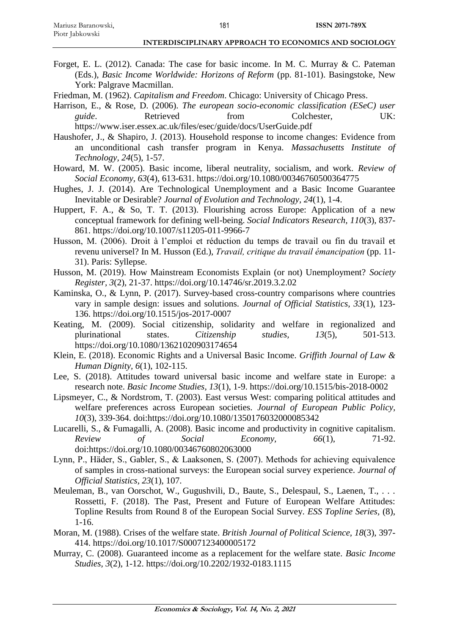Forget, E. L. (2012). Canada: The case for basic income. In M. C. Murray & C. Pateman (Eds.), *Basic Income Worldwide: Horizons of Reform* (pp. 81-101). Basingstoke, New York: Palgrave Macmillan.

Friedman, M. (1962). *Capitalism and Freedom*. Chicago: University of Chicago Press.

- Harrison, E., & Rose, D. (2006). *The european socio-economic classification (ESeC) user guide*. Retrieved from Colchester, UK: https://www.iser.essex.ac.uk/files/esec/guide/docs/UserGuide.pdf
- Haushofer, J., & Shapiro, J. (2013). Household response to income changes: Evidence from an unconditional cash transfer program in Kenya. *Massachusetts Institute of Technology, 24*(5), 1-57.
- Howard, M. W. (2005). Basic income, liberal neutrality, socialism, and work. *Review of Social Economy, 63*(4), 613-631. https://doi.org/10.1080/00346760500364775
- Hughes, J. J. (2014). Are Technological Unemployment and a Basic Income Guarantee Inevitable or Desirable? *Journal of Evolution and Technology, 24*(1), 1-4.
- Huppert, F. A., & So, T. T. (2013). Flourishing across Europe: Application of a new conceptual framework for defining well-being. *Social Indicators Research, 110*(3), 837- 861. https://doi.org/10.1007/s11205-011-9966-7
- Husson, M. (2006). Droit à l'emploi et réduction du temps de travail ou fin du travail et revenu universel? In M. Husson (Ed.), *Travail, critique du travail émancipation* (pp. 11- 31). Paris: Syllepse.
- Husson, M. (2019). How Mainstream Economists Explain (or not) Unemployment? *Society Register, 3*(2), 21-37. https://doi.org/10.14746/sr.2019.3.2.02
- Kaminska, O., & Lynn, P. (2017). Survey-based cross-country comparisons where countries vary in sample design: issues and solutions. *Journal of Official Statistics, 33*(1), 123- 136. https://doi.org/10.1515/jos-2017-0007
- Keating, M. (2009). Social citizenship, solidarity and welfare in regionalized and plurinational states. *Citizenship studies, 13*(5), 501-513. https://doi.org/10.1080/13621020903174654
- Klein, E. (2018). Economic Rights and a Universal Basic Income. *Griffith Journal of Law & Human Dignity, 6*(1), 102-115.
- Lee, S. (2018). Attitudes toward universal basic income and welfare state in Europe: a research note. *Basic Income Studies, 13*(1), 1-9. https://doi.org/10.1515/bis-2018-0002
- Lipsmeyer, C., & Nordstrom, T. (2003). East versus West: comparing political attitudes and welfare preferences across European societies. *Journal of European Public Policy, 10*(3), 339-364. doi:https://doi.org/10.1080/1350176032000085342
- Lucarelli, S., & Fumagalli, A. (2008). Basic income and productivity in cognitive capitalism. *Review* of *Social Economy*, 66(1), 71-92. doi:https://doi.org/10.1080/00346760802063000
- Lynn, P., Häder, S., Gabler, S., & Laaksonen, S. (2007). Methods for achieving equivalence of samples in cross-national surveys: the European social survey experience. *Journal of Official Statistics, 23*(1), 107.
- Meuleman, B., van Oorschot, W., Gugushvili, D., Baute, S., Delespaul, S., Laenen, T., . . . Rossetti, F. (2018). The Past, Present and Future of European Welfare Attitudes: Topline Results from Round 8 of the European Social Survey. *ESS Topline Series,* (8), 1-16.
- Moran, M. (1988). Crises of the welfare state. *British Journal of Political Science, 18*(3), 397- 414. https://doi.org/10.1017/S0007123400005172
- Murray, C. (2008). Guaranteed income as a replacement for the welfare state. *Basic Income Studies, 3*(2), 1-12. https://doi.org/10.2202/1932-0183.1115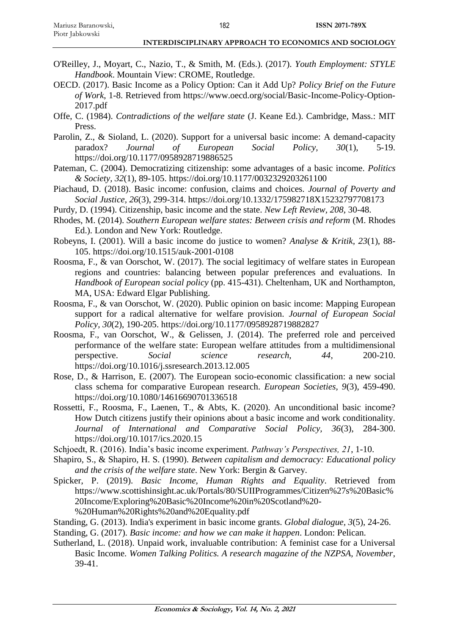- O'Reilley, J., Moyart, C., Nazio, T., & Smith, M. (Eds.). (2017). *Youth Employment: STYLE Handbook*. Mountain View: CROME, Routledge.
- OECD. (2017). Basic Income as a Policy Option: Can it Add Up? *Policy Brief on the Future of Work*, 1-8. Retrieved from https://www.oecd.org/social/Basic-Income-Policy-Option-2017.pdf
- Offe, C. (1984). *Contradictions of the welfare state* (J. Keane Ed.). Cambridge, Mass.: MIT Press.
- Parolin, Z., & Sioland, L. (2020). Support for a universal basic income: A demand-capacity paradox? *Journal of European Social Policy, 30*(1), 5-19. https://doi.org/10.1177/0958928719886525
- Pateman, C. (2004). Democratizing citizenship: some advantages of a basic income. *Politics & Society, 32*(1), 89-105. https://doi.org/10.1177/0032329203261100
- Piachaud, D. (2018). Basic income: confusion, claims and choices. *Journal of Poverty and Social Justice, 26*(3), 299-314. https://doi.org/10.1332/175982718X15232797708173
- Purdy, D. (1994). Citizenship, basic income and the state. *New Left Review, 208*, 30-48.
- Rhodes, M. (2014). *Southern European welfare states: Between crisis and reform* (M. Rhodes Ed.). London and New York: Routledge.
- Robeyns, I. (2001). Will a basic income do justice to women? *Analyse & Kritik, 23*(1), 88- 105. https://doi.org/10.1515/auk-2001-0108
- Roosma, F., & van Oorschot, W. (2017). The social legitimacy of welfare states in European regions and countries: balancing between popular preferences and evaluations. In *Handbook of European social policy* (pp. 415-431). Cheltenham, UK and Northampton, MA, USA: Edward Elgar Publishing.
- Roosma, F., & van Oorschot, W. (2020). Public opinion on basic income: Mapping European support for a radical alternative for welfare provision. *Journal of European Social Policy, 30*(2), 190-205. https://doi.org/10.1177/0958928719882827
- Roosma, F., van Oorschot, W., & Gelissen, J. (2014). The preferred role and perceived performance of the welfare state: European welfare attitudes from a multidimensional perspective. *Social science research, 44*, 200-210. https://doi.org/10.1016/j.ssresearch.2013.12.005
- Rose, D., & Harrison, E. (2007). The European socio-economic classification: a new social class schema for comparative European research. *European Societies, 9*(3), 459-490. https://doi.org/10.1080/14616690701336518
- Rossetti, F., Roosma, F., Laenen, T., & Abts, K. (2020). An unconditional basic income? How Dutch citizens justify their opinions about a basic income and work conditionality. *Journal of International and Comparative Social Policy, 36*(3), 284-300. https://doi.org/10.1017/ics.2020.15
- Schjoedt, R. (2016). India's basic income experiment. *Pathway's Perspectives, 21*, 1-10.
- Shapiro, S., & Shapiro, H. S. (1990). *Between capitalism and democracy: Educational policy and the crisis of the welfare state*. New York: Bergin & Garvey.
- Spicker, P. (2019). *Basic Income, Human Rights and Equality*. Retrieved from https://www.scottishinsight.ac.uk/Portals/80/SUIIProgrammes/Citizen%27s%20Basic% 20Income/Exploring%20Basic%20Income%20in%20Scotland%20- %20Human%20Rights%20and%20Equality.pdf
- Standing, G. (2013). India's experiment in basic income grants. *Global dialogue, 3*(5), 24-26.
- Standing, G. (2017). *Basic income: and how we can make it happen*. London: Pelican.
- Sutherland, L. (2018). Unpaid work, invaluable contribution: A feminist case for a Universal Basic Income. *Women Talking Politics. A research magazine of the NZPSA, November*, 39-41.